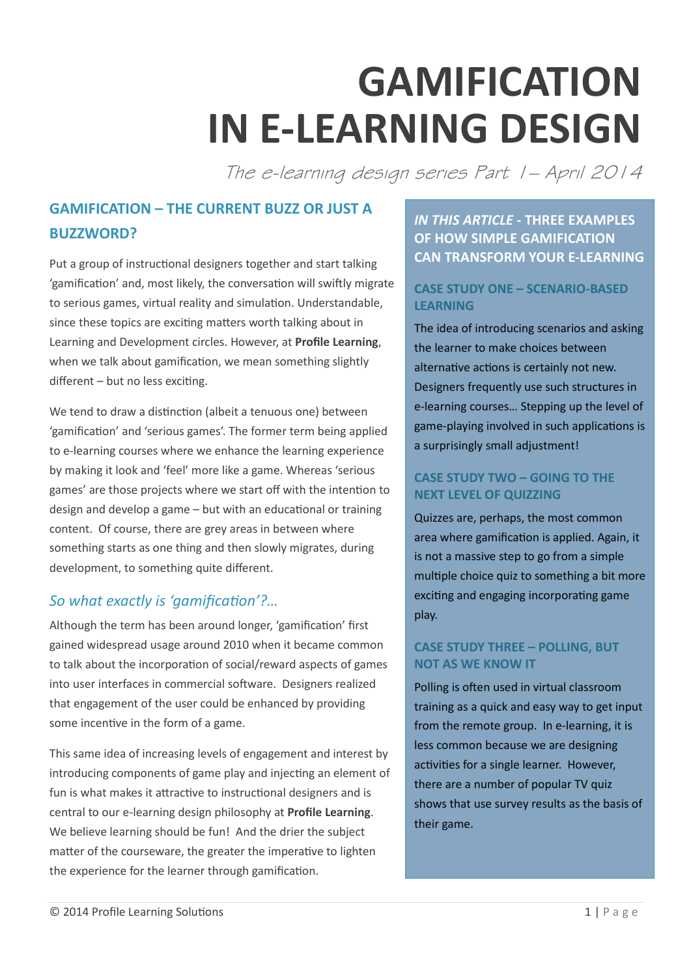# **GAMIFICATION IN E-LEARNING DESIGN**

The e-learning design series Part 1– April 2014

## **GAMIFICATION – THE CURRENT BUZZ OR JUST A BUZZWORD?**

Put a group of instructional designers together and start talking 'gamification' and, most likely, the conversation will swiftly migrate to serious games, virtual reality and simulation. Understandable, since these topics are exciting matters worth talking about in Learning and Development circles. However, at **Profile Learning**, when we talk about gamification, we mean something slightly different – but no less exciting.

We tend to draw a distinction (albeit a tenuous one) between 'gamification' and 'serious games'. The former term being applied to e-learning courses where we enhance the learning experience by making it look and 'feel' more like a game. Whereas 'serious games' are those projects where we start off with the intention to design and develop a game – but with an educational or training content. Of course, there are grey areas in between where something starts as one thing and then slowly migrates, during development, to something quite different.

## *So what exactly is 'gamification'?…*

Although the term has been around longer, 'gamification' first gained widespread usage around 2010 when it became common to talk about the incorporation of social/reward aspects of games into user interfaces in commercial software. Designers realized that engagement of the user could be enhanced by providing some incentive in the form of a game.

This same idea of increasing levels of engagement and interest by introducing components of game play and injecting an element of fun is what makes it attractive to instructional designers and is central to our e-learning design philosophy at **Profile Learning**. We believe learning should be fun! And the drier the subject matter of the courseware, the greater the imperative to lighten the experience for the learner through gamification.

## *IN THIS ARTICLE* **- THREE EXAMPLES OF HOW SIMPLE GAMIFICATION CAN TRANSFORM YOUR E-LEARNING**

#### **CASE STUDY ONE – SCENARIO-BASED LEARNING**

The idea of introducing scenarios and asking the learner to make choices between alternative actions is certainly not new. Designers frequently use such structures in e-learning courses… Stepping up the level of game-playing involved in such applications is a surprisingly small adjustment!

#### **CASE STUDY TWO – GOING TO THE NEXT LEVEL OF QUIZZING**

Quizzes are, perhaps, the most common area where gamification is applied. Again, it is not a massive step to go from a simple multiple choice quiz to something a bit more exciting and engaging incorporating game play.

#### **CASE STUDY THREE – POLLING, BUT NOT AS WE KNOW IT**

Polling is often used in virtual classroom training as a quick and easy way to get input from the remote group. In e-learning, it is less common because we are designing activities for a single learner. However, there are a number of popular TV quiz shows that use survey results as the basis of their game.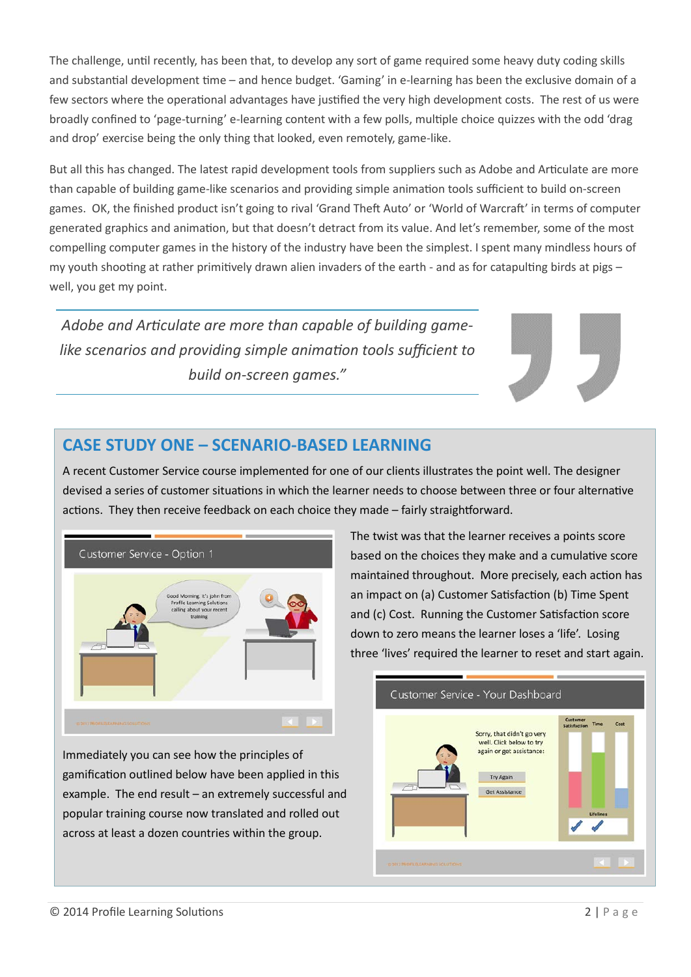The challenge, until recently, has been that, to develop any sort of game required some heavy duty coding skills and substantial development time – and hence budget. 'Gaming' in e-learning has been the exclusive domain of a few sectors where the operational advantages have justified the very high development costs. The rest of us were broadly confined to 'page-turning' e-learning content with a few polls, multiple choice quizzes with the odd 'drag and drop' exercise being the only thing that looked, even remotely, game-like.

But all this has changed. The latest rapid development tools from suppliers such as Adobe and Articulate are more than capable of building game-like scenarios and providing simple animation tools sufficient to build on-screen games. OK, the finished product isn't going to rival 'Grand Theft Auto' or 'World of Warcraft' in terms of computer generated graphics and animation, but that doesn't detract from its value. And let's remember, some of the most compelling computer games in the history of the industry have been the simplest. I spent many mindless hours of my youth shooting at rather primitively drawn alien invaders of the earth - and as for catapulting birds at pigs – well, you get my point.

*Adobe and Articulate are more than capable of building gamelike scenarios and providing simple animation tools sufficient to build on-screen games."*

## **CASE STUDY ONE – SCENARIO-BASED LEARNING**

A recent Customer Service course implemented for one of our clients illustrates the point well. The designer devised a series of customer situations in which the learner needs to choose between three or four alternative actions. They then receive feedback on each choice they made – fairly straightforward.



Immediately you can see how the principles of gamification outlined below have been applied in this example. The end result – an extremely successful and popular training course now translated and rolled out across at least a dozen countries within the group.

The twist was that the learner receives a points score based on the choices they make and a cumulative score maintained throughout. More precisely, each action has an impact on (a) Customer Satisfaction (b) Time Spent and (c) Cost. Running the Customer Satisfaction score down to zero means the learner loses a 'life'. Losing three 'lives' required the learner to reset and start again.

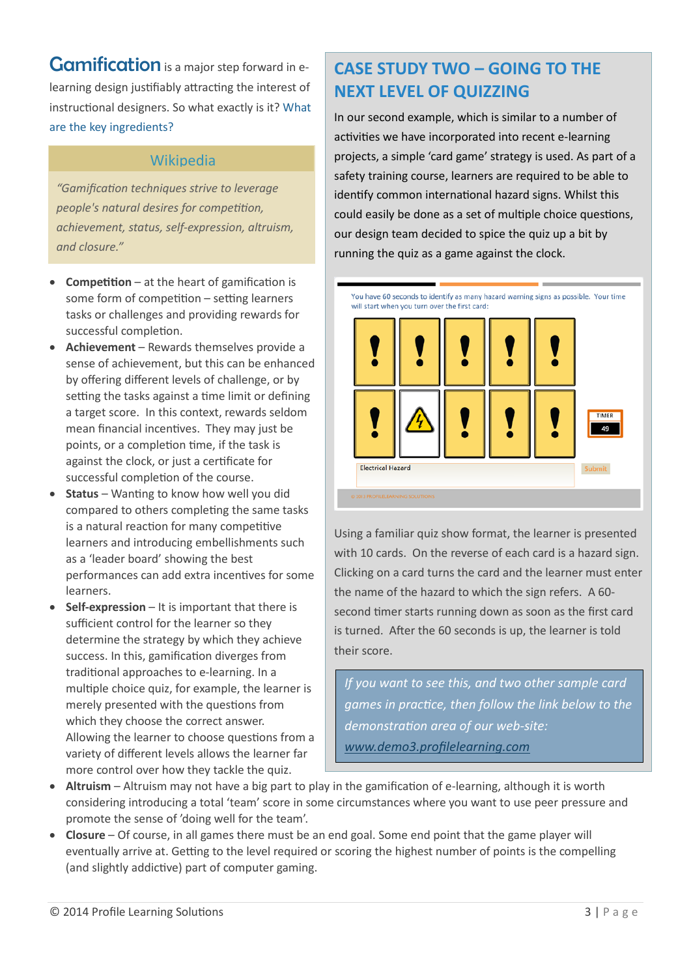**Gamification** is a major step forward in elearning design justifiably attracting the interest of instructional designers. So what exactly is it? What are the key ingredients?

## Wikipedia

*"Gamification techniques strive to leverage people's natural desires for competition, achievement, status, self-expression, altruism, and closure."*

- **Competition** at the heart of gamification is some form of competition – setting learners tasks or challenges and providing rewards for successful completion.
- **Achievement** Rewards themselves provide a sense of achievement, but this can be enhanced by offering different levels of challenge, or by setting the tasks against a time limit or defining a target score. In this context, rewards seldom mean financial incentives. They may just be points, or a completion time, if the task is against the clock, or just a certificate for successful completion of the course.
- **Status** Wanting to know how well you did compared to others completing the same tasks is a natural reaction for many competitive learners and introducing embellishments such as a 'leader board' showing the best performances can add extra incentives for some learners.
- **Self-expression** It is important that there is sufficient control for the learner so they determine the strategy by which they achieve success. In this, gamification diverges from traditional approaches to e-learning. In a multiple choice quiz, for example, the learner is merely presented with the questions from which they choose the correct answer. Allowing the learner to choose questions from a variety of different levels allows the learner far more control over how they tackle the quiz.

# **CASE STUDY TWO – GOING TO THE NEXT LEVEL OF QUIZZING**

In our second example, which is similar to a number of activities we have incorporated into recent e-learning projects, a simple 'card game' strategy is used. As part of a safety training course, learners are required to be able to identify common international hazard signs. Whilst this could easily be done as a set of multiple choice questions, our design team decided to spice the quiz up a bit by running the quiz as a game against the clock.



Using a familiar quiz show format, the learner is presented with 10 cards. On the reverse of each card is a hazard sign. Clicking on a card turns the card and the learner must enter the name of the hazard to which the sign refers. A 60 second timer starts running down as soon as the first card is turned. After the 60 seconds is up, the learner is told their score.

*If you want to see this, and two other sample card games in practice, then follow the link below to the demonstration area of our web-site: [www.demo3.profilelearning.com](http://www.demo3.profilelearning.com/)*

- **Altruism** Altruism may not have a big part to play in the gamification of e-learning, although it is worth considering introducing a total 'team' score in some circumstances where you want to use peer pressure and promote the sense of 'doing well for the team'.
- **Closure** Of course, in all games there must be an end goal. Some end point that the game player will eventually arrive at. Getting to the level required or scoring the highest number of points is the compelling (and slightly addictive) part of computer gaming.